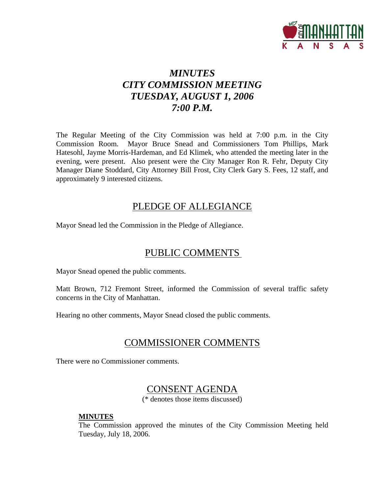

# *MINUTES CITY COMMISSION MEETING TUESDAY, AUGUST 1, 2006 7:00 P.M.*

The Regular Meeting of the City Commission was held at 7:00 p.m. in the City Commission Room. Mayor Bruce Snead and Commissioners Tom Phillips, Mark Hatesohl, Jayme Morris-Hardeman, and Ed Klimek, who attended the meeting later in the evening, were present. Also present were the City Manager Ron R. Fehr, Deputy City Manager Diane Stoddard, City Attorney Bill Frost, City Clerk Gary S. Fees, 12 staff, and approximately 9 interested citizens.

### PLEDGE OF ALLEGIANCE

Mayor Snead led the Commission in the Pledge of Allegiance.

# PUBLIC COMMENTS

Mayor Snead opened the public comments.

Matt Brown, 712 Fremont Street, informed the Commission of several traffic safety concerns in the City of Manhattan.

Hearing no other comments, Mayor Snead closed the public comments.

# COMMISSIONER COMMENTS

There were no Commissioner comments.

### CONSENT AGENDA

(\* denotes those items discussed)

#### **MINUTES**

The Commission approved the minutes of the City Commission Meeting held Tuesday, July 18, 2006.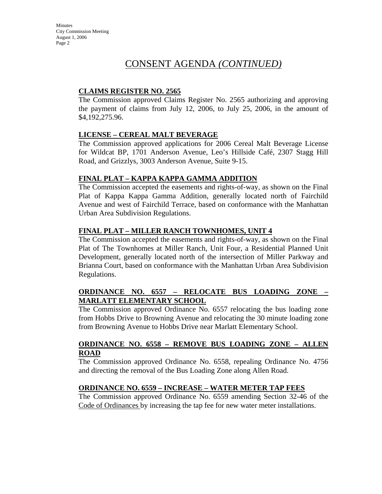**Minutes** City Commission Meeting August 1, 2006 Page 2

### CONSENT AGENDA *(CONTINUED)*

#### **CLAIMS REGISTER NO. 2565**

The Commission approved Claims Register No. 2565 authorizing and approving the payment of claims from July 12, 2006, to July 25, 2006, in the amount of \$4,192,275.96.

#### **LICENSE – CEREAL MALT BEVERAGE**

The Commission approved applications for 2006 Cereal Malt Beverage License for Wildcat BP, 1701 Anderson Avenue, Leo's Hillside Café, 2307 Stagg Hill Road, and Grizzlys, 3003 Anderson Avenue, Suite 9-15.

#### **FINAL PLAT – KAPPA KAPPA GAMMA ADDITION**

The Commission accepted the easements and rights-of-way, as shown on the Final Plat of Kappa Kappa Gamma Addition, generally located north of Fairchild Avenue and west of Fairchild Terrace, based on conformance with the Manhattan Urban Area Subdivision Regulations.

#### **FINAL PLAT – MILLER RANCH TOWNHOMES, UNIT 4**

The Commission accepted the easements and rights-of-way, as shown on the Final Plat of The Townhomes at Miller Ranch, Unit Four, a Residential Planned Unit Development, generally located north of the intersection of Miller Parkway and Brianna Court, based on conformance with the Manhattan Urban Area Subdivision Regulations.

#### **ORDINANCE NO. 6557 – RELOCATE BUS LOADING ZONE – MARLATT ELEMENTARY SCHOOL**

The Commission approved Ordinance No. 6557 relocating the bus loading zone from Hobbs Drive to Browning Avenue and relocating the 30 minute loading zone from Browning Avenue to Hobbs Drive near Marlatt Elementary School.

#### **ORDINANCE NO. 6558 – REMOVE BUS LOADING ZONE – ALLEN ROAD**

The Commission approved Ordinance No. 6558, repealing Ordinance No. 4756 and directing the removal of the Bus Loading Zone along Allen Road.

#### **ORDINANCE NO. 6559 – INCREASE – WATER METER TAP FEES**

The Commission approved Ordinance No. 6559 amending Section 32-46 of the Code of Ordinances by increasing the tap fee for new water meter installations.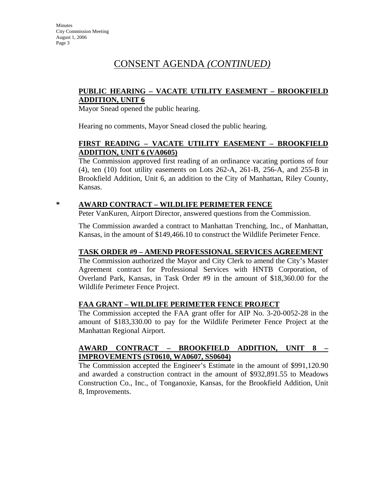#### **PUBLIC HEARING – VACATE UTILITY EASEMENT – BROOKFIELD ADDITION, UNIT 6**

Mayor Snead opened the public hearing.

Hearing no comments, Mayor Snead closed the public hearing.

#### **FIRST READING – VACATE UTILITY EASEMENT – BROOKFIELD ADDITION, UNIT 6 (VA0605)**

The Commission approved first reading of an ordinance vacating portions of four (4), ten (10) foot utility easements on Lots 262-A, 261-B, 256-A, and 255-B in Brookfield Addition, Unit 6, an addition to the City of Manhattan, Riley County, Kansas.

#### **\* AWARD CONTRACT – WILDLIFE PERIMETER FENCE**

Peter VanKuren, Airport Director, answered questions from the Commission.

The Commission awarded a contract to Manhattan Trenching, Inc., of Manhattan, Kansas, in the amount of \$149,466.10 to construct the Wildlife Perimeter Fence.

#### **TASK ORDER #9 – AMEND PROFESSIONAL SERVICES AGREEMENT**

The Commission authorized the Mayor and City Clerk to amend the City's Master Agreement contract for Professional Services with HNTB Corporation, of Overland Park, Kansas, in Task Order #9 in the amount of \$18,360.00 for the Wildlife Perimeter Fence Project.

#### **FAA GRANT – WILDLIFE PERIMETER FENCE PROJECT**

The Commission accepted the FAA grant offer for AIP No. 3-20-0052-28 in the amount of \$183,330.00 to pay for the Wildlife Perimeter Fence Project at the Manhattan Regional Airport.

#### **AWARD CONTRACT – BROOKFIELD ADDITION, UNIT 8 – IMPROVEMENTS (ST0610, WA0607, SS0604)**

The Commission accepted the Engineer's Estimate in the amount of \$991,120.90 and awarded a construction contract in the amount of \$932,891.55 to Meadows Construction Co., Inc., of Tonganoxie, Kansas, for the Brookfield Addition, Unit 8, Improvements.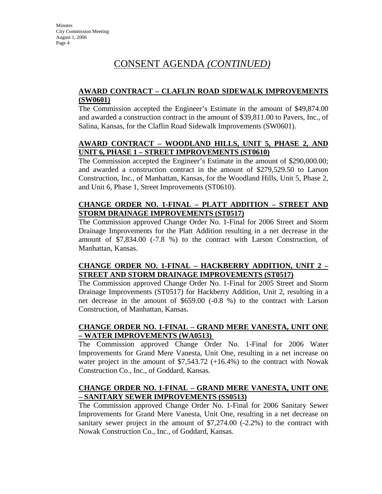#### **AWARD CONTRACT – CLAFLIN ROAD SIDEWALK IMPROVEMENTS (SW0601)**

The Commission accepted the Engineer's Estimate in the amount of \$49,874.00 and awarded a construction contract in the amount of \$39,811.00 to Pavers, Inc., of Salina, Kansas, for the Claflin Road Sidewalk Improvements (SW0601).

#### **AWARD CONTRACT – WOODLAND HILLS, UNIT 5, PHASE 2, AND UNIT 6, PHASE 1 – STREET IMPROVEMENTS (ST0610)**

The Commission accepted the Engineer's Estimate in the amount of \$290,000.00; and awarded a construction contract in the amount of \$279,529.50 to Larson Construction, Inc., of Manhattan, Kansas, for the Woodland Hills, Unit 5, Phase 2, and Unit 6, Phase 1, Street Improvements (ST0610).

#### **CHANGE ORDER NO. 1-FINAL – PLATT ADDITION – STREET AND STORM DRAINAGE IMPROVEMENTS (ST0517)**

The Commission approved Change Order No. 1-Final for 2006 Street and Storm Drainage Improvements for the Platt Addition resulting in a net decrease in the amount of \$7,834.00 (-7.8 %) to the contract with Larson Construction, of Manhattan, Kansas.

#### **CHANGE ORDER NO. 1-FINAL – HACKBERRY ADDITION, UNIT 2 – STREET AND STORM DRAINAGE IMPROVEMENTS (ST0517)**

The Commission approved Change Order No. 1-Final for 2005 Street and Storm Drainage Improvements (ST0517) for Hackberry Addition, Unit 2, resulting in a net decrease in the amount of \$659.00 (-0.8 %) to the contract with Larson Construction, of Manhattan, Kansas.

### **CHANGE ORDER NO. 1-FINAL – GRAND MERE VANESTA, UNIT ONE – WATER IMPROVEMENTS (WA0513)**

The Commission approved Change Order No. 1-Final for 2006 Water Improvements for Grand Mere Vanesta, Unit One, resulting in a net increase on water project in the amount of  $$7,543.72$  (+16.4%) to the contract with Nowak Construction Co., Inc., of Goddard, Kansas.

#### **CHANGE ORDER NO. 1-FINAL – GRAND MERE VANESTA, UNIT ONE – SANITARY SEWER IMPROVEMENTS (SS0513)**

The Commission approved Change Order No. 1-Final for 2006 Sanitary Sewer Improvements for Grand Mere Vanesta, Unit One, resulting in a net decrease on sanitary sewer project in the amount of \$7,274.00 (-2.2%) to the contract with Nowak Construction Co., Inc., of Goddard, Kansas.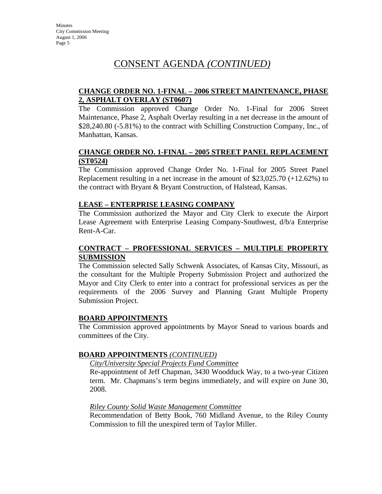#### **CHANGE ORDER NO. 1-FINAL – 2006 STREET MAINTENANCE, PHASE 2, ASPHALT OVERLAY (ST0607)**

The Commission approved Change Order No. 1-Final for 2006 Street Maintenance, Phase 2, Asphalt Overlay resulting in a net decrease in the amount of \$28,240.80 (-5.81%) to the contract with Schilling Construction Company, Inc., of Manhattan, Kansas.

#### **CHANGE ORDER NO. 1-FINAL – 2005 STREET PANEL REPLACEMENT (ST0524)**

The Commission approved Change Order No. 1-Final for 2005 Street Panel Replacement resulting in a net increase in the amount of \$23,025.70 (+12.62%) to the contract with Bryant & Bryant Construction, of Halstead, Kansas.

#### **LEASE – ENTERPRISE LEASING COMPANY**

The Commission authorized the Mayor and City Clerk to execute the Airport Lease Agreement with Enterprise Leasing Company-Southwest, d/b/a Enterprise Rent-A-Car.

#### **CONTRACT – PROFESSIONAL SERVICES – MULTIPLE PROPERTY SUBMISSION**

The Commission selected Sally Schwenk Associates, of Kansas City, Missouri, as the consultant for the Multiple Property Submission Project and authorized the Mayor and City Clerk to enter into a contract for professional services as per the requirements of the 2006 Survey and Planning Grant Multiple Property Submission Project.

#### **BOARD APPOINTMENTS**

The Commission approved appointments by Mayor Snead to various boards and committees of the City.

#### **BOARD APPOINTMENTS** *(CONTINUED)*

#### *City/University Special Projects Fund Committee*

Re-appointment of Jeff Chapman, 3430 Woodduck Way, to a two-year Citizen term. Mr. Chapmans's term begins immediately, and will expire on June 30, 2008.

#### *Riley County Solid Waste Management Committee*

Recommendation of Betty Book, 760 Midland Avenue, to the Riley County Commission to fill the unexpired term of Taylor Miller.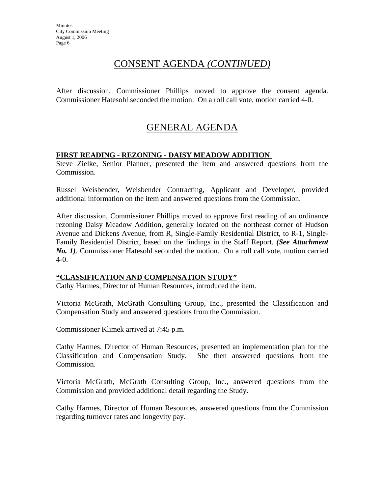After discussion, Commissioner Phillips moved to approve the consent agenda. Commissioner Hatesohl seconded the motion. On a roll call vote, motion carried 4-0.

# GENERAL AGENDA

#### **FIRST READING - REZONING - DAISY MEADOW ADDITION**

Steve Zielke, Senior Planner, presented the item and answered questions from the Commission.

Russel Weisbender, Weisbender Contracting, Applicant and Developer, provided additional information on the item and answered questions from the Commission.

After discussion, Commissioner Phillips moved to approve first reading of an ordinance rezoning Daisy Meadow Addition, generally located on the northeast corner of Hudson Avenue and Dickens Avenue, from R, Single-Family Residential District, to R-1, Single-Family Residential District, based on the findings in the Staff Report. *(See Attachment No. 1)*. Commissioner Hatesohl seconded the motion. On a roll call vote, motion carried 4-0.

#### **"CLASSIFICATION AND COMPENSATION STUDY"**

Cathy Harmes, Director of Human Resources, introduced the item.

Victoria McGrath, McGrath Consulting Group, Inc., presented the Classification and Compensation Study and answered questions from the Commission.

Commissioner Klimek arrived at 7:45 p.m.

Cathy Harmes, Director of Human Resources, presented an implementation plan for the Classification and Compensation Study. She then answered questions from the Commission.

Victoria McGrath, McGrath Consulting Group, Inc., answered questions from the Commission and provided additional detail regarding the Study.

Cathy Harmes, Director of Human Resources, answered questions from the Commission regarding turnover rates and longevity pay.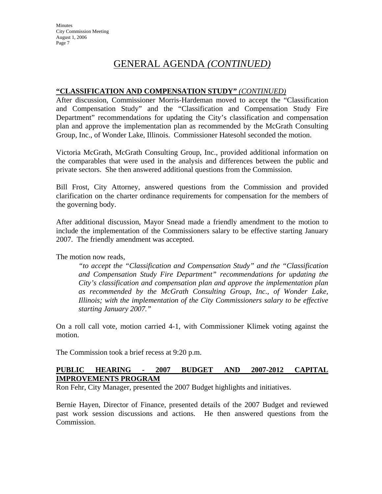# GENERAL AGENDA *(CONTINUED)*

#### **"CLASSIFICATION AND COMPENSATION STUDY"** *(CONTINUED)*

After discussion, Commissioner Morris-Hardeman moved to accept the "Classification and Compensation Study" and the "Classification and Compensation Study Fire Department" recommendations for updating the City's classification and compensation plan and approve the implementation plan as recommended by the McGrath Consulting Group, Inc., of Wonder Lake, Illinois. Commissioner Hatesohl seconded the motion.

Victoria McGrath, McGrath Consulting Group, Inc., provided additional information on the comparables that were used in the analysis and differences between the public and private sectors. She then answered additional questions from the Commission.

Bill Frost, City Attorney, answered questions from the Commission and provided clarification on the charter ordinance requirements for compensation for the members of the governing body.

After additional discussion, Mayor Snead made a friendly amendment to the motion to include the implementation of the Commissioners salary to be effective starting January 2007. The friendly amendment was accepted.

The motion now reads,

*"to accept the "Classification and Compensation Study" and the "Classification and Compensation Study Fire Department" recommendations for updating the City's classification and compensation plan and approve the implementation plan as recommended by the McGrath Consulting Group, Inc., of Wonder Lake, Illinois; with the implementation of the City Commissioners salary to be effective starting January 2007."* 

On a roll call vote, motion carried 4-1, with Commissioner Klimek voting against the motion.

The Commission took a brief recess at 9:20 p.m.

#### **PUBLIC HEARING - 2007 BUDGET AND 2007-2012 CAPITAL IMPROVEMENTS PROGRAM**

Ron Fehr, City Manager, presented the 2007 Budget highlights and initiatives.

Bernie Hayen, Director of Finance, presented details of the 2007 Budget and reviewed past work session discussions and actions. He then answered questions from the Commission.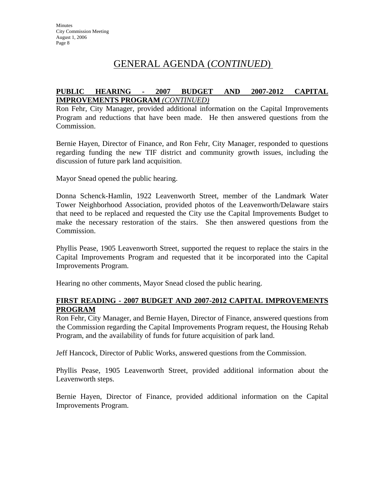# GENERAL AGENDA (*CONTINUED*)

#### **PUBLIC HEARING - 2007 BUDGET AND 2007-2012 CAPITAL IMPROVEMENTS PROGRAM** *(CONTINUED)*

Ron Fehr, City Manager, provided additional information on the Capital Improvements Program and reductions that have been made. He then answered questions from the Commission.

Bernie Hayen, Director of Finance, and Ron Fehr, City Manager, responded to questions regarding funding the new TIF district and community growth issues, including the discussion of future park land acquisition.

Mayor Snead opened the public hearing.

Donna Schenck-Hamlin, 1922 Leavenworth Street, member of the Landmark Water Tower Neighborhood Association, provided photos of the Leavenworth/Delaware stairs that need to be replaced and requested the City use the Capital Improvements Budget to make the necessary restoration of the stairs. She then answered questions from the Commission.

Phyllis Pease, 1905 Leavenworth Street, supported the request to replace the stairs in the Capital Improvements Program and requested that it be incorporated into the Capital Improvements Program.

Hearing no other comments, Mayor Snead closed the public hearing.

#### **FIRST READING - 2007 BUDGET AND 2007-2012 CAPITAL IMPROVEMENTS PROGRAM**

Ron Fehr, City Manager, and Bernie Hayen, Director of Finance, answered questions from the Commission regarding the Capital Improvements Program request, the Housing Rehab Program, and the availability of funds for future acquisition of park land.

Jeff Hancock, Director of Public Works, answered questions from the Commission.

Phyllis Pease, 1905 Leavenworth Street, provided additional information about the Leavenworth steps.

Bernie Hayen, Director of Finance, provided additional information on the Capital Improvements Program.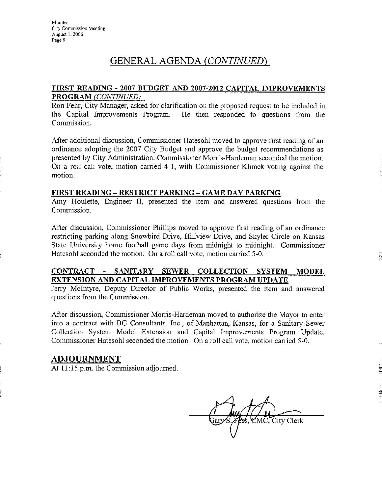# GENERAL AGENDA (CONTINUED)

#### FIRST READING - 2007 BUDGET AND 2007-2012 CAPITAL IMPROVEMENTS **PROGRAM (CONTINUED)**

Ron Fehr, City Manager, asked for clarification on the proposed request to be included in the Capital Improvements Program. He then responded to questions from the Commission.

After additional discussion, Commissioner Hatesohl moved to approve first reading of an ordinance adopting the 2007 City Budget and approve the budget recommendations as presented by City Administration. Commissioner Morris-Hardeman seconded the motion. On a roll call vote, motion carried 4-1, with Commissioner Klimek voting against the motion.

#### FIRST READING - RESTRICT PARKING - GAME DAY PARKING

Amy Houlette, Engineer II, presented the item and answered questions from the Commission.

After discussion, Commissioner Phillips moved to approve first reading of an ordinance restricting parking along Snowbird Drive, Hillview Drive, and Skyler Circle on Kansas State University home football game days from midnight to midnight. Commissioner Hatesohl seconded the motion. On a roll call vote, motion carried 5-0.

#### CONTRACT - SANITARY SEWER COLLECTION SYSTEM **MODEL** EXTENSION AND CAPITAL IMPROVEMENTS PROGRAM UPDATE

Jerry McIntyre, Deputy Director of Public Works, presented the item and answered questions from the Commission.

After discussion, Commissioner Morris-Hardeman moved to authorize the Mayor to enter into a contract with BG Consultants, Inc., of Manhattan, Kansas, for a Sanitary Sewer Collection System Model Extension and Capital Improvements Program Update. Commissioner Hatesohl seconded the motion. On a roll call vote, motion carried 5-0.

#### **ADJOURNMENT**

At 11:15 p.m. the Commission adjourned.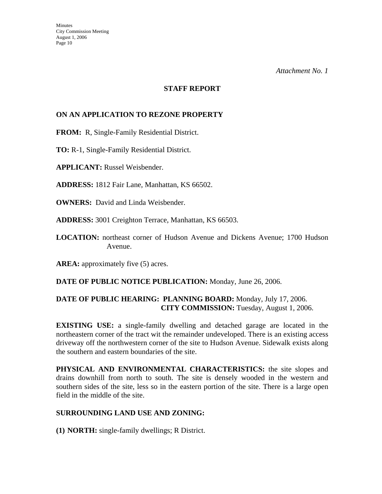*Attachment No. 1* 

#### **STAFF REPORT**

#### **ON AN APPLICATION TO REZONE PROPERTY**

**FROM:** R, Single-Family Residential District.

**TO:** R-1, Single-Family Residential District.

**APPLICANT:** Russel Weisbender.

**ADDRESS:** 1812 Fair Lane, Manhattan, KS 66502.

**OWNERS:** David and Linda Weisbender.

**ADDRESS:** 3001 Creighton Terrace, Manhattan, KS 66503.

**LOCATION:** northeast corner of Hudson Avenue and Dickens Avenue; 1700 Hudson Avenue.

AREA: approximately five (5) acres.

**DATE OF PUBLIC NOTICE PUBLICATION:** Monday, June 26, 2006.

#### **DATE OF PUBLIC HEARING: PLANNING BOARD:** Monday, July 17, 2006. **CITY COMMISSION:** Tuesday, August 1, 2006.

**EXISTING USE:** a single-family dwelling and detached garage are located in the northeastern corner of the tract wit the remainder undeveloped. There is an existing access driveway off the northwestern corner of the site to Hudson Avenue. Sidewalk exists along the southern and eastern boundaries of the site.

**PHYSICAL AND ENVIRONMENTAL CHARACTERISTICS:** the site slopes and drains downhill from north to south. The site is densely wooded in the western and southern sides of the site, less so in the eastern portion of the site. There is a large open field in the middle of the site.

#### **SURROUNDING LAND USE AND ZONING:**

**(1) NORTH:** single-family dwellings; R District.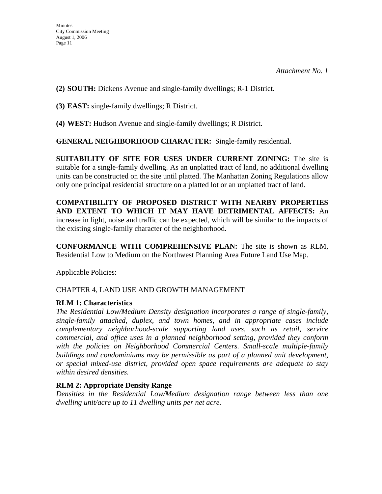**(2) SOUTH:** Dickens Avenue and single-family dwellings; R-1 District.

**(3) EAST:** single-family dwellings; R District.

**(4) WEST:** Hudson Avenue and single-family dwellings; R District.

**GENERAL NEIGHBORHOOD CHARACTER:** Single-family residential.

**SUITABILITY OF SITE FOR USES UNDER CURRENT ZONING:** The site is suitable for a single-family dwelling. As an unplatted tract of land, no additional dwelling units can be constructed on the site until platted. The Manhattan Zoning Regulations allow only one principal residential structure on a platted lot or an unplatted tract of land.

**COMPATIBILITY OF PROPOSED DISTRICT WITH NEARBY PROPERTIES AND EXTENT TO WHICH IT MAY HAVE DETRIMENTAL AFFECTS:** An increase in light, noise and traffic can be expected, which will be similar to the impacts of the existing single-family character of the neighborhood.

**CONFORMANCE WITH COMPREHENSIVE PLAN:** The site is shown as RLM, Residential Low to Medium on the Northwest Planning Area Future Land Use Map.

Applicable Policies:

CHAPTER 4, LAND USE AND GROWTH MANAGEMENT

### **RLM 1: Characteristics**

*The Residential Low/Medium Density designation incorporates a range of single-family, single-family attached, duplex, and town homes, and in appropriate cases include complementary neighborhood-scale supporting land uses, such as retail, service commercial, and office uses in a planned neighborhood setting, provided they conform*  with the policies on Neighborhood Commercial Centers. Small-scale multiple-family *buildings and condominiums may be permissible as part of a planned unit development, or special mixed-use district, provided open space requirements are adequate to stay within desired densities.* 

#### **RLM 2: Appropriate Density Range**

*Densities in the Residential Low/Medium designation range between less than one dwelling unit/acre up to 11 dwelling units per net acre.*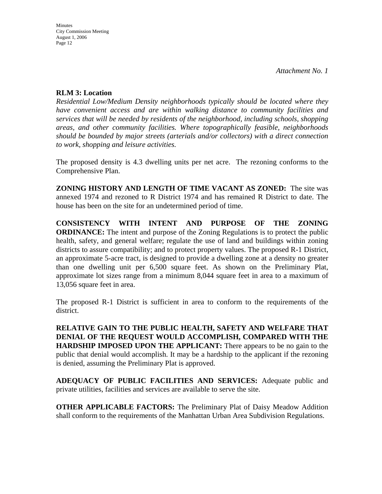*Attachment No. 1* 

#### **RLM 3: Location**

*Residential Low/Medium Density neighborhoods typically should be located where they have convenient access and are within walking distance to community facilities and services that will be needed by residents of the neighborhood, including schools, shopping areas, and other community facilities. Where topographically feasible, neighborhoods should be bounded by major streets (arterials and/or collectors) with a direct connection to work, shopping and leisure activities.* 

The proposed density is 4.3 dwelling units per net acre. The rezoning conforms to the Comprehensive Plan.

**ZONING HISTORY AND LENGTH OF TIME VACANT AS ZONED:** The site was annexed 1974 and rezoned to R District 1974 and has remained R District to date. The house has been on the site for an undetermined period of time.

**CONSISTENCY WITH INTENT AND PURPOSE OF THE ZONING ORDINANCE:** The intent and purpose of the Zoning Regulations is to protect the public health, safety, and general welfare; regulate the use of land and buildings within zoning districts to assure compatibility; and to protect property values. The proposed R-1 District, an approximate 5-acre tract, is designed to provide a dwelling zone at a density no greater than one dwelling unit per 6,500 square feet. As shown on the Preliminary Plat, approximate lot sizes range from a minimum 8,044 square feet in area to a maximum of 13,056 square feet in area.

The proposed R-1 District is sufficient in area to conform to the requirements of the district.

**RELATIVE GAIN TO THE PUBLIC HEALTH, SAFETY AND WELFARE THAT DENIAL OF THE REQUEST WOULD ACCOMPLISH, COMPARED WITH THE HARDSHIP IMPOSED UPON THE APPLICANT:** There appears to be no gain to the public that denial would accomplish. It may be a hardship to the applicant if the rezoning is denied, assuming the Preliminary Plat is approved.

**ADEQUACY OF PUBLIC FACILITIES AND SERVICES:** Adequate public and private utilities, facilities and services are available to serve the site.

**OTHER APPLICABLE FACTORS:** The Preliminary Plat of Daisy Meadow Addition shall conform to the requirements of the Manhattan Urban Area Subdivision Regulations.